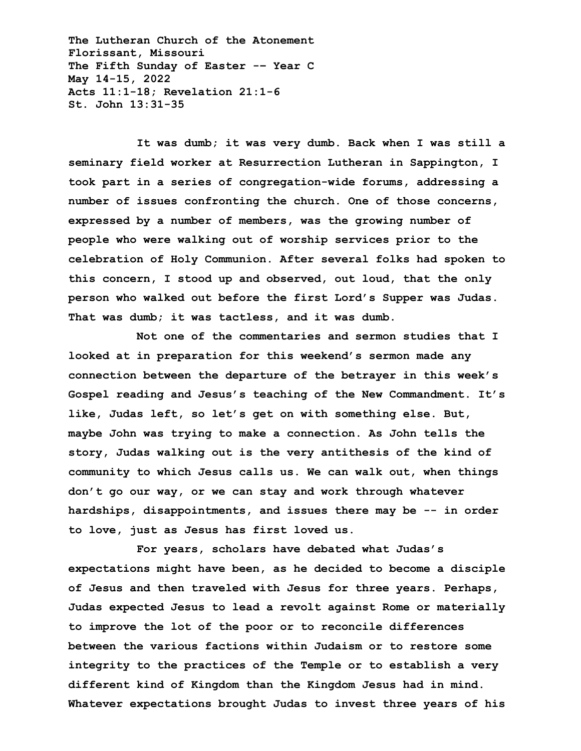**The Lutheran Church of the Atonement Florissant, Missouri The Fifth Sunday of Easter -– Year C May 14-15, 2022 Acts 11:1-18; Revelation 21:1-6 St. John 13:31-35**

**It was dumb; it was very dumb. Back when I was still a seminary field worker at Resurrection Lutheran in Sappington, I took part in a series of congregation-wide forums, addressing a number of issues confronting the church. One of those concerns, expressed by a number of members, was the growing number of people who were walking out of worship services prior to the celebration of Holy Communion. After several folks had spoken to this concern, I stood up and observed, out loud, that the only person who walked out before the first Lord's Supper was Judas. That was dumb; it was tactless, and it was dumb.**

**Not one of the commentaries and sermon studies that I looked at in preparation for this weekend's sermon made any connection between the departure of the betrayer in this week's Gospel reading and Jesus's teaching of the New Commandment. It's like, Judas left, so let's get on with something else. But, maybe John was trying to make a connection. As John tells the story, Judas walking out is the very antithesis of the kind of community to which Jesus calls us. We can walk out, when things don't go our way, or we can stay and work through whatever hardships, disappointments, and issues there may be -- in order to love, just as Jesus has first loved us.**

**For years, scholars have debated what Judas's expectations might have been, as he decided to become a disciple of Jesus and then traveled with Jesus for three years. Perhaps, Judas expected Jesus to lead a revolt against Rome or materially to improve the lot of the poor or to reconcile differences between the various factions within Judaism or to restore some integrity to the practices of the Temple or to establish a very different kind of Kingdom than the Kingdom Jesus had in mind. Whatever expectations brought Judas to invest three years of his**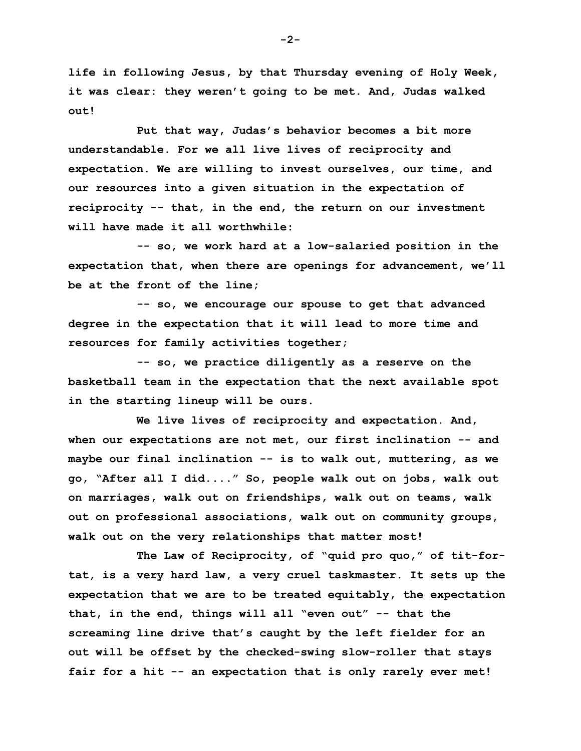**life in following Jesus, by that Thursday evening of Holy Week, it was clear: they weren't going to be met. And, Judas walked out!**

**Put that way, Judas's behavior becomes a bit more understandable. For we all live lives of reciprocity and expectation. We are willing to invest ourselves, our time, and our resources into a given situation in the expectation of reciprocity -- that, in the end, the return on our investment will have made it all worthwhile:**

**-- so, we work hard at a low-salaried position in the expectation that, when there are openings for advancement, we'll be at the front of the line;**

**-- so, we encourage our spouse to get that advanced degree in the expectation that it will lead to more time and resources for family activities together;**

**-- so, we practice diligently as a reserve on the basketball team in the expectation that the next available spot in the starting lineup will be ours.**

**We live lives of reciprocity and expectation. And, when our expectations are not met, our first inclination -- and maybe our final inclination -- is to walk out, muttering, as we go, "After all I did...." So, people walk out on jobs, walk out on marriages, walk out on friendships, walk out on teams, walk out on professional associations, walk out on community groups, walk out on the very relationships that matter most!**

**The Law of Reciprocity, of "quid pro quo," of tit-fortat, is a very hard law, a very cruel taskmaster. It sets up the expectation that we are to be treated equitably, the expectation that, in the end, things will all "even out" -- that the screaming line drive that's caught by the left fielder for an out will be offset by the checked-swing slow-roller that stays fair for a hit -- an expectation that is only rarely ever met!**

**-2-**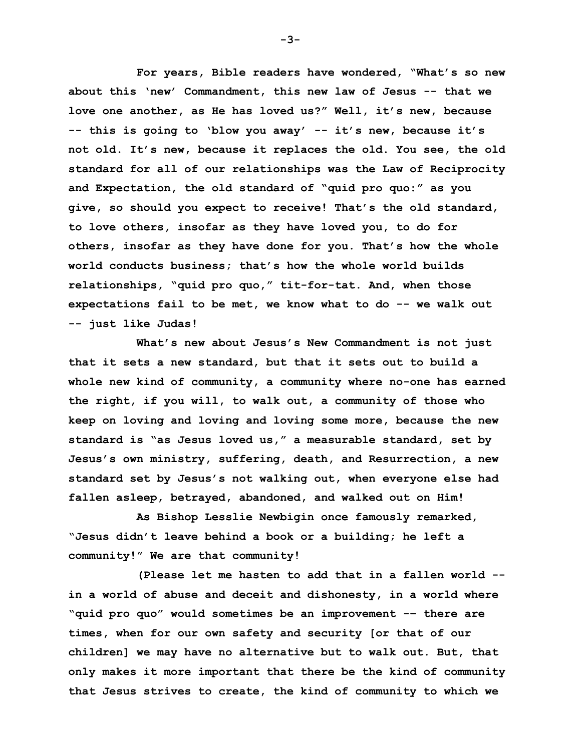**For years, Bible readers have wondered, "What's so new about this 'new' Commandment, this new law of Jesus -- that we love one another, as He has loved us?" Well, it's new, because -- this is going to 'blow you away' -- it's new, because it's not old. It's new, because it replaces the old. You see, the old standard for all of our relationships was the Law of Reciprocity and Expectation, the old standard of "quid pro quo:" as you give, so should you expect to receive! That's the old standard, to love others, insofar as they have loved you, to do for others, insofar as they have done for you. That's how the whole world conducts business; that's how the whole world builds relationships, "quid pro quo," tit-for-tat. And, when those expectations fail to be met, we know what to do -- we walk out -- just like Judas!**

**What's new about Jesus's New Commandment is not just that it sets a new standard, but that it sets out to build a whole new kind of community, a community where no-one has earned the right, if you will, to walk out, a community of those who keep on loving and loving and loving some more, because the new standard is "as Jesus loved us," a measurable standard, set by Jesus's own ministry, suffering, death, and Resurrection, a new standard set by Jesus's not walking out, when everyone else had fallen asleep, betrayed, abandoned, and walked out on Him!**

**As Bishop Lesslie Newbigin once famously remarked, "Jesus didn't leave behind a book or a building; he left a community!" We are that community!**

**(Please let me hasten to add that in a fallen world - in a world of abuse and deceit and dishonesty, in a world where "quid pro quo" would sometimes be an improvement -– there are times, when for our own safety and security [or that of our children] we may have no alternative but to walk out. But, that only makes it more important that there be the kind of community that Jesus strives to create, the kind of community to which we** 

**-3-**